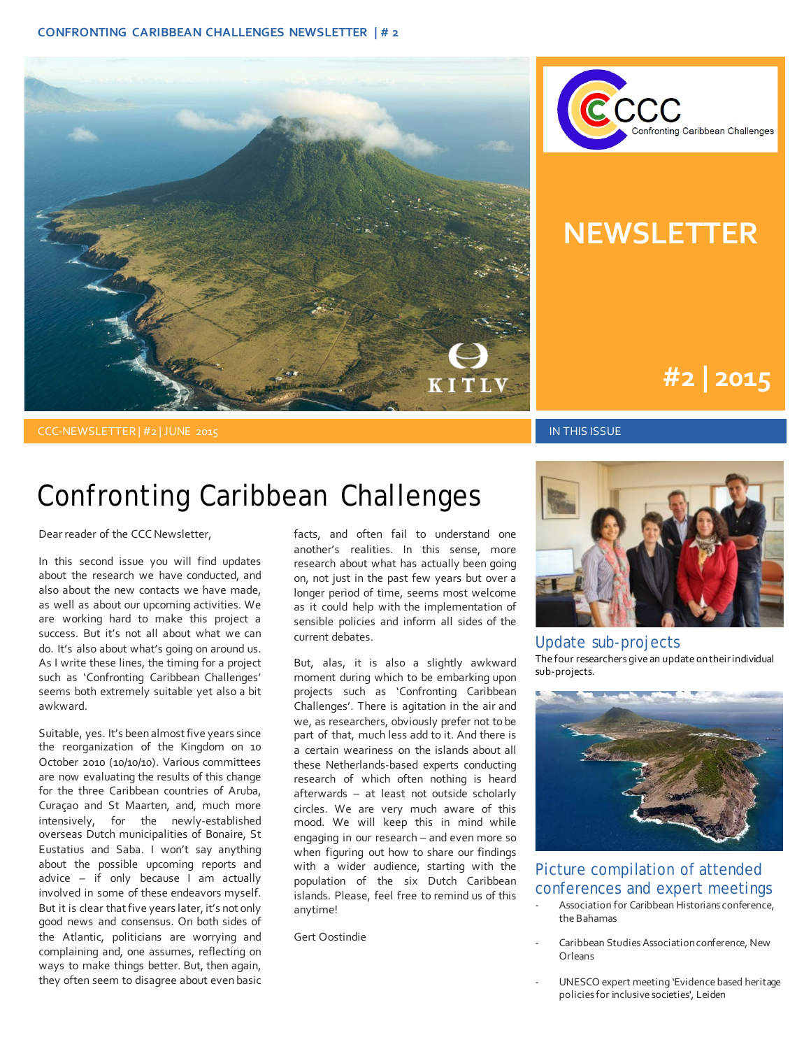



## **NEWSLETTER**

# **#1 | 2015 #2 | 2015**

#### CCC-NEWSLETTER | #2 | JUNE 2015 IN THIS ISSUE

#### Confronting Caribbean Challenges

#### Dear reader of the CCC Newsletter,

In this second issue you will find updates about the research we have conducted, and also about the new contacts we have made, as well as about our upcoming activities. We are working hard to make this project a success. But it's not all about what we can do. It's also about what's going on around us. As I write these lines, the timing for a project such as 'Confronting Caribbean Challenges' seems both extremely suitable yet also a bit awkward.

Suitable, yes. It's been almost five years since the reorganization of the Kingdom on 10 October 2010 (10/10/10). Various committees are now evaluating the results of this change for the three Caribbean countries of Aruba, Curaçao and St Maarten, and, much more intensively, for the newly-established overseas Dutch municipalities of Bonaire, St Eustatius and Saba. I won't say anything about the possible upcoming reports and advice – if only because I am actually involved in some of these endeavors myself. But it is clear that five years later, it's not only good news and consensus. On both sides of the Atlantic, politicians are worrying and complaining and, one assumes, reflecting on ways to make things better. But, then again, they often seem to disagree about even basic facts, and often fail to understand one another's realities. In this sense, more research about what has actually been going on, not just in the past few years but over a longer period of time, seems most welcome as it could help with the implementation of sensible policies and inform all sides of the current debates.

But, alas, it is also a slightly awkward moment during which to be embarking upon projects such as 'Confronting Caribbean Challenges'. There is agitation in the air and we, as researchers, obviously prefer not to be part of that, much less add to it. And there is a certain weariness on the islands about all these Netherlands-based experts conducting research of which often nothing is heard afterwards – at least not outside scholarly circles. We are very much aware of this mood. We will keep this in mind while engaging in our research – and even more so when figuring out how to share our findings with a wider audience, starting with the population of the six Dutch Caribbean islands. Please, feel free to remind us of this anytime!

Gert Oostindie



Update sub-projects The four researchers give an update on their individual sub-projects.



#### Picture compilation of attended conferences and expert meetings

- Association for Caribbean Historians conference, the Bahamas
- Caribbean Studies Association conference, New Orleans
- UNESCO expert meeting 'Evidence based heritage policies for inclusive societies', Leiden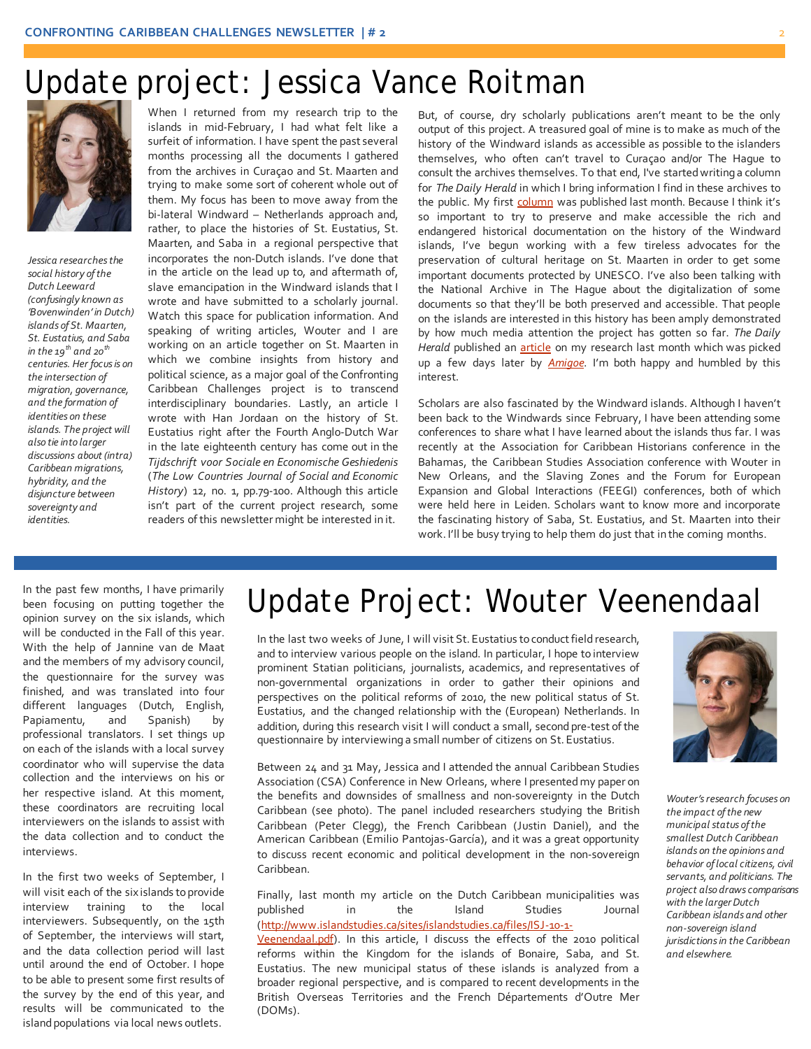### Update project: Jessica Vance Roitman



*Jessica researches the social history of the Dutch Leeward (confusingly known as 'Bovenwinden' in Dutch) islands of St. Maarten, St. Eustatius, and Saba in the 19th and 20th centuries. Her focus is on the intersection of migration, governance, and the formation of identities on these islands. The project will also tie into larger discussions about (intra) Caribbean migrations, hybridity, and the disjuncture between sovereignty and identities.*

When I returned from my research trip to the islands in mid-February, I had what felt like a surfeit of information. I have spent the past several months processing all the documents I gathered from the archives in Curaçao and St. Maarten and trying to make some sort of coherent whole out of them. My focus has been to move away from the bi-lateral Windward – Netherlands approach and, rather, to place the histories of St. Eustatius, St. Maarten, and Saba in a regional perspective that incorporates the non-Dutch islands. I've done that in the article on the lead up to, and aftermath of, slave emancipation in the Windward islands that I wrote and have submitted to a scholarly journal. Watch this space for publication information. And speaking of writing articles, Wouter and I are working on an article together on St. Maarten in which we combine insights from history and political science, as a major goal of the Confronting Caribbean Challenges project is to transcend interdisciplinary boundaries. Lastly, an article I wrote with Han Jordaan on the history of St. Eustatius right after the Fourth Anglo-Dutch War in the late eighteenth century has come out in the *Tijdschrift voor Sociale en Economische Geshiedenis*  (*The Low Countries Journal of Social and Economic History*) 12, no. 1, pp.79-100. Although this article isn't part of the current project research, some readers of this newsletter might be interested in it.

But, of course, dry scholarly publications aren't meant to be the only output of this project. A treasured goal of mine is to make as much of the history of the Windward islands as accessible as possible to the islanders themselves, who often can't travel to Curaçao and/or The Hague to consult the archives themselves. To that end, I've started writing a column for *The Daily Herald* in which I bring information I find in these archives to the public. My firs[t column](http://www.thedailyherald.com/index.php?option=com_content&view=article&id=55555:the-more-things-change-the-more-they-remain-the-same&catid=24:weekender&Itemid=37) was published last month. Because I think it's so important to try to preserve and make accessible the rich and endangered historical documentation on the history of the Windward islands, I've begun working with a few tireless advocates for the preservation of cultural heritage on St. Maarten in order to get some important documents protected by UNESCO. I've also been talking with the National Archive in The Hague about the digitalization of some documents so that they'll be both preserved and accessible. That people on the islands are interested in this history has been amply demonstrated by how much media attention the project has gotten so far. *The Daily*  Herald published an **article** on my research last month which was picked up a few days later by *[Amigoe](http://www.kitlv.nl/wp-content/uploads/2015/06/sociaal-cultureel-historische-studie-van-bovenwinden-van-start-Amigoe-16-May.pdf)*. I'm both happy and humbled by this interest.

Scholars are also fascinated by the Windward islands. Although I haven't been back to the Windwards since February, I have been attending some conferences to share what I have learned about the islands thus far. I was recently at the Association for Caribbean Historians conference in the Bahamas, the Caribbean Studies Association conference with Wouter in New Orleans, and the Slaving Zones and the Forum for European Expansion and Global Interactions (FEEGI) conferences, both of which were held here in Leiden. Scholars want to know more and incorporate the fascinating history of Saba, St. Eustatius, and St. Maarten into their work. I'll be busy trying to help them do just that in the coming months.

In the past few months, I have primarily been focusing on putting together the opinion survey on the six islands, which will be conducted in the Fall of this year. With the help of Jannine van de Maat and the members of my advisory council, the questionnaire for the survey was finished, and was translated into four different languages (Dutch, English, Papiamentu, and Spanish) by professional translators. I set things up on each of the islands with a local survey coordinator who will supervise the data collection and the interviews on his or her respective island. At this moment, these coordinators are recruiting local interviewers on the islands to assist with the data collection and to conduct the interviews.

In the first two weeks of September, I will visit each of the six islands to provide interview training to the local interviewers. Subsequently, on the 15th of September, the interviews will start, and the data collection period will last until around the end of October. I hope to be able to present some first results of the survey by the end of this year, and results will be communicated to the island populations via local news outlets.

# Update Project: Wouter Veenendaal

In the last two weeks of June, I will visit St. Eustatius to conduct field research, and to interview various people on the island. In particular, I hope to interview prominent Statian politicians, journalists, academics, and representatives of non-governmental organizations in order to gather their opinions and perspectives on the political reforms of 2010, the new political status of St. Eustatius, and the changed relationship with the (European) Netherlands. In addition, during this research visit I will conduct a small, second pre-test of the questionnaire by interviewing a small number of citizens on St. Eustatius.

Between 24 and 31 May, Jessica and I attended the annual Caribbean Studies Association (CSA) Conference in New Orleans, where I presented my paper on the benefits and downsides of smallness and non-sovereignty in the Dutch Caribbean (see photo). The panel included researchers studying the British Caribbean (Peter Clegg), the French Caribbean (Justin Daniel), and the American Caribbean (Emilio Pantojas-García), and it was a great opportunity to discuss recent economic and political development in the non-sovereign Caribbean.

Finally, last month my article on the Dutch Caribbean municipalities was published in the Island Studies Journal [\(http://www.islandstudies.ca/sites/islandstudies.ca/files/ISJ-10-1-](http://www.islandstudies.ca/sites/islandstudies.ca/files/ISJ-10-1-Veenendaal.pdf)

[Veenendaal.pdf\).](http://www.islandstudies.ca/sites/islandstudies.ca/files/ISJ-10-1-Veenendaal.pdf) In this article, I discuss the effects of the 2010 political reforms within the Kingdom for the islands of Bonaire, Saba, and St. Eustatius. The new municipal status of these islands is analyzed from a broader regional perspective, and is compared to recent developments in the British Overseas Territories and the French Départements d'Outre Mer (DOMs).



*Wouter's research focuses on the impact of the new municipal status of the smallest Dutch Caribbean islands on the opinions and behavior of local citizens, civil servants, and politicians. The project also draws comparisons with the larger Dutch Caribbean islands and other non-sovereign island jurisdictions in the Caribbean and elsewhere.*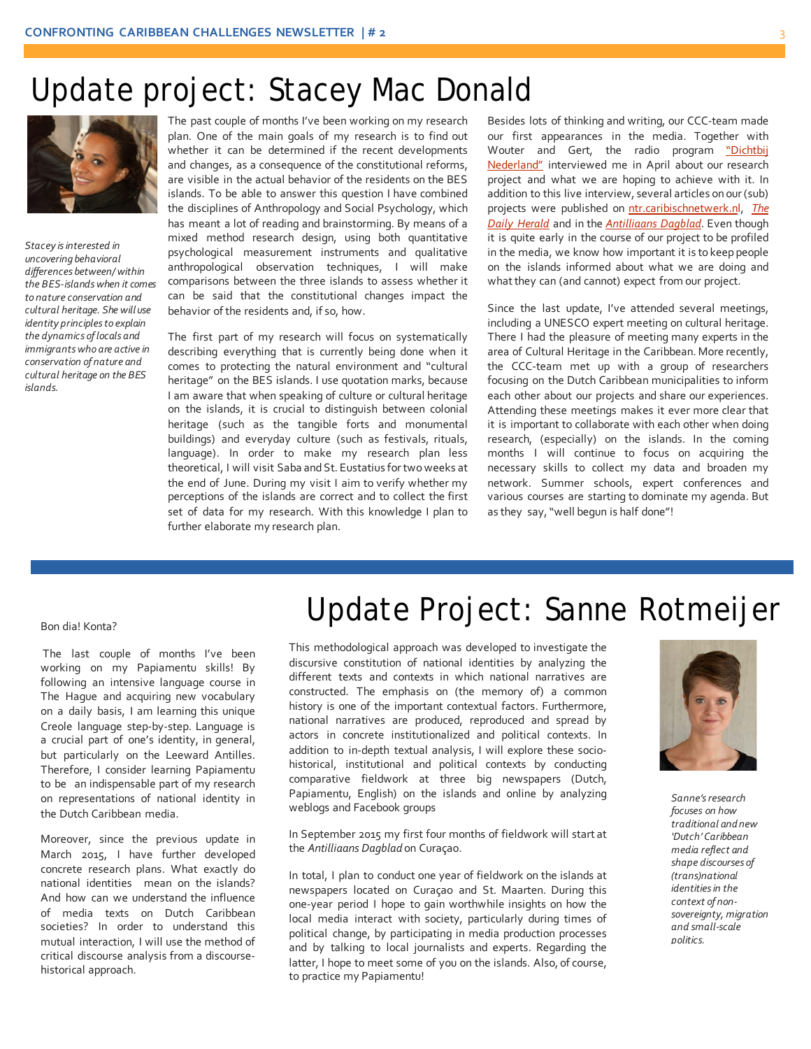### Update project: Stacey Mac Donald



*Stacey is interested in uncovering behavioral differences between/ within the BES-islands when it comes to nature conservation and cultural heritage. She will use identity principles to explain the dynamics of locals and immigrants who are active in conservation of nature and cultural heritage on the BES islands.*

The past couple of months I've been working on my research plan. One of the main goals of my research is to find out whether it can be determined if the recent developments and changes, as a consequence of the constitutional reforms, are visible in the actual behavior of the residents on the BES islands. To be able to answer this question I have combined the disciplines of Anthropology and Social Psychology, which has meant a lot of reading and brainstorming. By means of a mixed method research design, using both quantitative psychological measurement instruments and qualitative anthropological observation techniques, I will make comparisons between the three islands to assess whether it can be said that the constitutional changes impact the behavior of the residents and, if so, how.

The first part of my research will focus on systematically describing everything that is currently being done when it comes to protecting the natural environment and "cultural heritage" on the BES islands. I use quotation marks, because I am aware that when speaking of culture or cultural heritage on the islands, it is crucial to distinguish between colonial heritage (such as the tangible forts and monumental buildings) and everyday culture (such as festivals, rituals, language). In order to make my research plan less theoretical, I will visit Saba and St. Eustatius for two weeks at the end of June. During my visit I aim to verify whether my perceptions of the islands are correct and to collect the first set of data for my research. With this knowledge I plan to further elaborate my research plan.

Besides lots of thinking and writing, our CCC-team made our first appearances in the media. Together with Wouter and Gert, the radio program ["Dichtbij](http://www.kitlv.nl/radio-interview-with-kitlv-researchers-about-project-on-the-caribbean/)  [Nederland"](http://www.kitlv.nl/radio-interview-with-kitlv-researchers-about-project-on-the-caribbean/) interviewed me in April about our research project and what we are hoping to achieve with it. In addition to this live interview, several articles on our (sub) projects were published o[n ntr.caribischnetwerk.nl](http://caribischnetwerk.ntr.nl/2015/04/03/groot-onderzoek-naar-caribische-rijksdelen/), *[The](http://www.kitlv.nl/wp-content/uploads/2015/05/mergeddailyheraldarticle.pdf)  [Daily Herald](http://www.kitlv.nl/wp-content/uploads/2015/05/mergeddailyheraldarticle.pdf)* and in the *[Antilliaans Dagblad](http://www.kitlv.nl/wp-content/uploads/2015/04/CCC-in-AD-8-april-2015.pdf)*. Even though it is quite early in the course of our project to be profiled in the media, we know how important it is to keep people on the islands informed about what we are doing and what they can (and cannot) expect from our project.

Since the last update, I've attended several meetings, including a UNESCO expert meeting on cultural heritage. There I had the pleasure of meeting many experts in the area of Cultural Heritage in the Caribbean. More recently, the CCC-team met up with a group of researchers focusing on the Dutch Caribbean municipalities to inform each other about our projects and share our experiences. Attending these meetings makes it ever more clear that it is important to collaborate with each other when doing research, (especially) on the islands. In the coming months I will continue to focus on acquiring the necessary skills to collect my data and broaden my network. Summer schools, expert conferences and various courses are starting to dominate my agenda. But as they say, "well begun is half done"!

#### Bon dia! Konta?

The last couple of months I've been working on my Papiamentu skills! By following an intensive language course in The Hague and acquiring new vocabulary on a daily basis, I am learning this unique Creole language step-by-step. Language is a crucial part of one's identity, in general, but particularly on the Leeward Antilles. Therefore, I consider learning Papiamentu to be an indispensable part of my research on representations of national identity in the Dutch Caribbean media.

Moreover, since the previous update in March 2015, I have further developed concrete research plans. What exactly do national identities mean on the islands? And how can we understand the influence of media texts on Dutch Caribbean societies? In order to understand this mutual interaction, I will use the method of critical discourse analysis from a discoursehistorical approach.

# Update Project: Sanne Rotmeijer

This methodological approach was developed to investigate the discursive constitution of national identities by analyzing the different texts and contexts in which national narratives are constructed. The emphasis on (the memory of) a common history is one of the important contextual factors. Furthermore, national narratives are produced, reproduced and spread by actors in concrete institutionalized and political contexts. In addition to in-depth textual analysis, I will explore these sociohistorical, institutional and political contexts by conducting comparative fieldwork at three big newspapers (Dutch, Papiamentu, English) on the islands and online by analyzing weblogs and Facebook groups

In September 2015 my first four months of fieldwork will start at the *Antilliaans Dagblad* on Curaçao.

In total, I plan to conduct one year of fieldwork on the islands at newspapers located on Curaçao and St. Maarten. During this one-year period I hope to gain worthwhile insights on how the local media interact with society, particularly during times of political change, by participating in media production processes and by talking to local journalists and experts. Regarding the latter, I hope to meet some of you on the islands. Also, of course, to practice my Papiamentu!



*Sanne'sresearch focuses on how traditional and new 'Dutch' Caribbean media reflect and shape discourses of (trans)national identities in the context of nonsovereignty, migration and small-scale politics.*